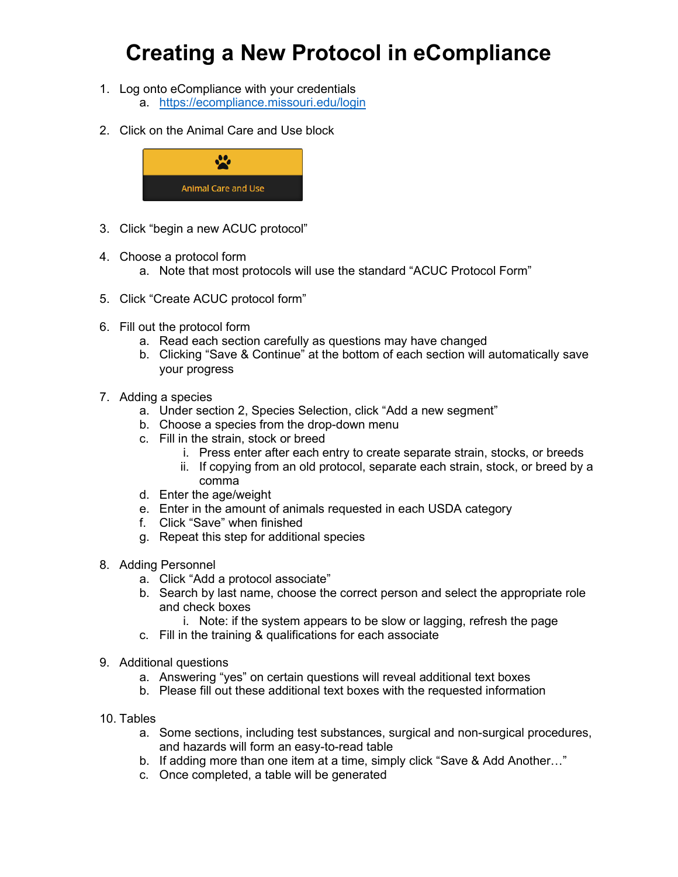## **Creating a New Protocol in eCompliance**

- 1. Log onto eCompliance with your credentials a. <https://ecompliance.missouri.edu/login>
- 2. Click on the Animal Care and Use block



- 3. Click "begin a new ACUC protocol"
- 4. Choose a protocol form
	- a. Note that most protocols will use the standard "ACUC Protocol Form"
- 5. Click "Create ACUC protocol form"
- 6. Fill out the protocol form
	- a. Read each section carefully as questions may have changed
	- b. Clicking "Save & Continue" at the bottom of each section will automatically save your progress
- 7. Adding a species
	- a. Under section 2, Species Selection, click "Add a new segment"
	- b. Choose a species from the drop-down menu
	- c. Fill in the strain, stock or breed
		- i. Press enter after each entry to create separate strain, stocks, or breeds
		- ii. If copying from an old protocol, separate each strain, stock, or breed by a comma
	- d. Enter the age/weight
	- e. Enter in the amount of animals requested in each USDA category
	- f. Click "Save" when finished
	- g. Repeat this step for additional species
- 8. Adding Personnel
	- a. Click "Add a protocol associate"
	- b. Search by last name, choose the correct person and select the appropriate role and check boxes
		- i. Note: if the system appears to be slow or lagging, refresh the page
	- c. Fill in the training & qualifications for each associate
- 9. Additional questions
	- a. Answering "yes" on certain questions will reveal additional text boxes
	- b. Please fill out these additional text boxes with the requested information
- 10. Tables
	- a. Some sections, including test substances, surgical and non-surgical procedures, and hazards will form an easy-to-read table
	- b. If adding more than one item at a time, simply click "Save & Add Another…"
	- c. Once completed, a table will be generated